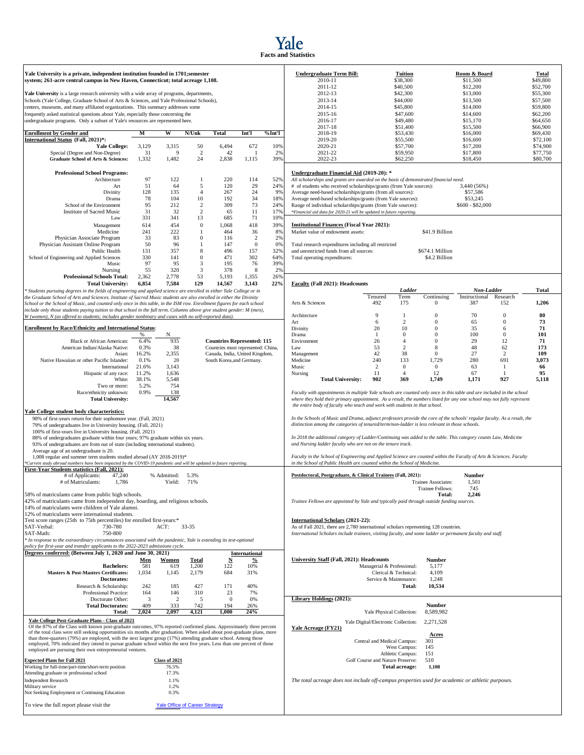

### **Yale University is a private, independent institution founded in 1701;semester** system; 261-acre central campus in New Haven, Connecticut; total acreage 1,108.

|                                                                                                                        |       |       |                |        |       |        | $2011 - 10$                                                                          | 0.1700          | 013.000          |
|------------------------------------------------------------------------------------------------------------------------|-------|-------|----------------|--------|-------|--------|--------------------------------------------------------------------------------------|-----------------|------------------|
| <b>Enrollment by Gender and</b>                                                                                        | М     | W     | N/Unk          | Total  | Int'l | %Int'l | 2018-19                                                                              | \$53,430        | \$16,000         |
| International Status (Fall, 2021)*:                                                                                    |       |       |                |        |       |        | 2019-20                                                                              | \$55,500        | \$16,600         |
| <b>Yale College:</b>                                                                                                   | 3,129 | 3,315 | 50             | 6,494  | 672   | 10%    | 2020-21                                                                              | \$57,700        | \$17,200         |
| Special (Degree and Non-Degree)                                                                                        | 31    |       | $\overline{2}$ | 42     |       | 2%     | 2021-22                                                                              | \$59,950        | \$17,800         |
| <b>Graduate School of Arts &amp; Sciences:</b>                                                                         | 1,332 | 1,482 | 24             | 2,838  | 1,115 | 39%    | 2022-23                                                                              | \$62,250        | \$18,450         |
| <b>Professional School Programs:</b>                                                                                   |       |       |                |        |       |        | Undergraduate Financial Aid (2019-20): *                                             |                 |                  |
| Architecture                                                                                                           | 97    | 122   |                | 220    | 114   | 52%    | All scholarships and grants are awarded on the basis of demonstrated financial need. |                 |                  |
| Art                                                                                                                    | 51    | 64    | 5              | 120    | 29    | 24%    | # of students who received scholarships/grants (from Yale sources):                  |                 | 3,440 (56%)      |
| Divinity                                                                                                               | 128   | 135   |                | 267    | 24    | 9%     | Average need-based scholarships/grants (from all sources):                           |                 | \$57,586         |
| Drama                                                                                                                  | 78    | 104   | 10             | 192    | 34    | 18%    | Average need-based scholarships/grants (from Yale sources):                          |                 | \$53,245         |
| School of the Environment                                                                                              | 95    | 212   | $\overline{2}$ | 309    | 73    | 24%    | Range of individual scholarships/grants (from Yale sources):                         |                 | $$600 - $82,000$ |
| <b>Institute of Sacred Music</b>                                                                                       | 31    | 32    | 2              | 65     | 11    | 17%    | *Financial aid data for 2020-21 will be updated in future reporting.                 |                 |                  |
| Law                                                                                                                    | 331   | 341   | 13             | 685    | 71    | 10%    |                                                                                      |                 |                  |
| Management                                                                                                             | 614   | 454   | $\mathbf{0}$   | 1.068  | 418   | 39%    | <b>Institutional Finances (Fiscal Year 2021):</b>                                    |                 |                  |
| Medicine                                                                                                               | 241   | 222   |                | 464    | 36    | 8%     | Market value of endowment assets:                                                    | \$41.9 Billion  |                  |
| Physician Associate Program                                                                                            | 33    | 83    | $\theta$       | 116    |       | 2%     |                                                                                      |                 |                  |
| Physician Assistant Online Program                                                                                     | 50    | 96    |                | 147    |       | 0%     | Total research expenditures including all restricted                                 |                 |                  |
| Public Health                                                                                                          | 131   | 357   | 8              | 496    | 157   | 32%    | and unrestricted funds from all sources:                                             | \$674.1 Million |                  |
| School of Engineering and Applied Sciences                                                                             | 330   | 141   | $\mathbf{0}$   | 471    | 302   | 64%    | Total operating expenditures:                                                        | \$4.2 Billion   |                  |
| Music                                                                                                                  | 97    | 95    | 3              | 195    | 76    | 39%    |                                                                                      |                 |                  |
| Nursing                                                                                                                | 55    | 320   | 3              | 378    | 8     | 2%     |                                                                                      |                 |                  |
| <b>Professional Schools Total:</b>                                                                                     | 2,362 | 2,778 | 53             | 5,193  | 1,355 | 26%    |                                                                                      |                 |                  |
| <b>Total University:</b>                                                                                               | 6,854 | 7,584 | 129            | 14,567 | 3,143 | 22%    | Faculty (Fall 2021): Headcounts                                                      |                 |                  |
| * Students pursuing degrees in the fields of engineering and applied science are enrolled in either Yale College or in |       |       |                |        |       |        |                                                                                      | Ladder          | Non-La           |

# **Enrollment by Race/Ethnicity and International Status**: Divinity 20 10 0 35 6 **71**

| <b>Enrollment by Race/Ethnicity and International Status</b>                                                                                                                          |       |                                       |       |                           |                                    | Divinity            |                                                                                                                    | 20  | 10                                  | $\mathbf{0}$            | 35     | 6            |
|---------------------------------------------------------------------------------------------------------------------------------------------------------------------------------------|-------|---------------------------------------|-------|---------------------------|------------------------------------|---------------------|--------------------------------------------------------------------------------------------------------------------|-----|-------------------------------------|-------------------------|--------|--------------|
|                                                                                                                                                                                       | %     | N                                     |       |                           |                                    | Drama               |                                                                                                                    | 1   | $\mathbf{0}$                        | $\Omega$                | 100    | $\mathbf{0}$ |
| <b>Black or African American:</b>                                                                                                                                                     | 6.4%  | 935                                   |       |                           | <b>Countries Represented: 115</b>  | Environment         |                                                                                                                    | 26  | $\overline{4}$                      | $\Omega$                | 29     | 12           |
| American Indian/Alaska Native:                                                                                                                                                        | 0.3%  | 38                                    |       |                           | Countries most represented: China, | Law                 |                                                                                                                    | 53  | 2                                   | 8                       | 48     | 62           |
| Asian:                                                                                                                                                                                | 16.2% | 2,355                                 |       |                           | Canada, India, United Kingdom,     | Management          |                                                                                                                    | 42  | 38                                  | $\mathbf{0}$            | 27     | 2            |
| Native Hawaiian or other Pacific Islander:                                                                                                                                            | 0.1%  | 20                                    |       | South Korea, and Germany. |                                    | Medicine            |                                                                                                                    | 240 | 133                                 | 1.729                   | 280    | 691          |
| International                                                                                                                                                                         | 21.6% | 3.143                                 |       |                           |                                    | Music               |                                                                                                                    | 2   | $\mathbf{0}$                        | $\mathbf{0}$            | 63     | -1           |
| Hispanic of any race:                                                                                                                                                                 | 11.2% | 1,636                                 |       |                           |                                    | Nursing             |                                                                                                                    | 11  | $\overline{4}$                      | 12                      | 67     | $\mathbf{1}$ |
| White:                                                                                                                                                                                | 38.1% | 5,548                                 |       |                           |                                    |                     | <b>Total University:</b>                                                                                           | 902 | 369                                 | 1.749                   | 1,171  | 927          |
| Two or more:                                                                                                                                                                          | 5.2%  | 754                                   |       |                           |                                    |                     |                                                                                                                    |     |                                     |                         |        |              |
| Race/ethnicity unknown:                                                                                                                                                               | 0.9%  | 138                                   |       |                           |                                    |                     | Faculty with appointments in multiple Yale schools are counted only once in this table and are included in the sch |     |                                     |                         |        |              |
| <b>Total University:</b>                                                                                                                                                              |       | 14,567                                |       |                           |                                    |                     | where they hold their primary appointment. As a result, the numbers listed for any one school may not fully repre  |     |                                     |                         |        |              |
|                                                                                                                                                                                       |       |                                       |       |                           |                                    |                     | the entire body of faculty who teach and work with students in that school.                                        |     |                                     |                         |        |              |
|                                                                                                                                                                                       |       |                                       |       |                           |                                    |                     |                                                                                                                    |     |                                     |                         |        |              |
| Yale College student body characteristics:                                                                                                                                            |       |                                       |       |                           |                                    |                     |                                                                                                                    |     |                                     |                         |        |              |
| 98% of first-years return for their sophomore year. (Fall, 2021)                                                                                                                      |       |                                       |       |                           |                                    |                     | In the Schools of Music and Drama, adjunct professors provide the core of the schools' regular faculty. As a resul |     |                                     |                         |        |              |
| 79% of undergraduates live in University housing. (Fall, 2021)                                                                                                                        |       |                                       |       |                           |                                    |                     | distinction among the categories of tenured/term/non-ladder is less relevant in those schools.                     |     |                                     |                         |        |              |
| 100% of first-years live in University housing. (Fall, 2021)                                                                                                                          |       |                                       |       |                           |                                    |                     |                                                                                                                    |     |                                     |                         |        |              |
| 88% of undergraduates graduate within four years; 97% graduate within six years.                                                                                                      |       |                                       |       |                           |                                    |                     | In 2018 the additional category of Ladder/Continuing was added to the table. This category counts Law, Medicine    |     |                                     |                         |        |              |
| 93% of undergraduates are from out of state (including international students).                                                                                                       |       |                                       |       |                           |                                    |                     | and Nursing ladder faculty who are not on the tenure track.                                                        |     |                                     |                         |        |              |
| Average age of an undergraduate is 20.                                                                                                                                                |       |                                       |       |                           |                                    |                     |                                                                                                                    |     |                                     |                         |        |              |
| 1,008 regular and summer term students studied abroad (AY 2018-2019)*                                                                                                                 |       |                                       |       |                           |                                    |                     | Faculty in the School of Engineering and Applied Science are counted within the Faculty of Arts & Sciences. Facu   |     |                                     |                         |        |              |
| Current study abroad numbers have been impacted by the COVID-19 pandemic and will be updated in future reporting.                                                                     |       |                                       |       |                           |                                    |                     | in the School of Public Health are counted within the School of Medicine.                                          |     |                                     |                         |        |              |
| First-Year Students statistics (Fall, 2021):                                                                                                                                          |       |                                       |       |                           |                                    |                     |                                                                                                                    |     |                                     |                         |        |              |
| # of Applicants:<br>47,240                                                                                                                                                            |       | % Admitted: 5.3%                      |       |                           |                                    |                     | Postdoctoral, Postgraduate, & Clinical Trainees (Fall, 2021):                                                      |     |                                     |                         | Number |              |
| # of Matriculants:<br>1,786                                                                                                                                                           |       | Yield:                                | 71%   |                           |                                    |                     |                                                                                                                    |     |                                     | Trainee Associates:     | 1,501  |              |
|                                                                                                                                                                                       |       |                                       |       |                           |                                    |                     |                                                                                                                    |     |                                     | <b>Trainee Fellows:</b> | 745    |              |
| 58% of matriculants came from public high schools.                                                                                                                                    |       |                                       |       |                           |                                    |                     |                                                                                                                    |     |                                     | Total:                  | 2.246  |              |
| 42% of matriculants came from independent day, boarding, and religious schools.                                                                                                       |       |                                       |       |                           |                                    |                     | Trainee Fellows are appointed by Yale and typically paid through outside funding sources.                          |     |                                     |                         |        |              |
| 14% of matriculants were children of Yale alumni.                                                                                                                                     |       |                                       |       |                           |                                    |                     |                                                                                                                    |     |                                     |                         |        |              |
| 12% of matriculants were international students.                                                                                                                                      |       |                                       |       |                           |                                    |                     |                                                                                                                    |     |                                     |                         |        |              |
| Test score ranges (25th to 75th percentiles) for enrolled first-years:*                                                                                                               |       |                                       |       |                           |                                    |                     | International Scholars (2021-22):                                                                                  |     |                                     |                         |        |              |
| 730-780<br>SAT-Verbal:                                                                                                                                                                |       | ACT:                                  | 33-35 |                           |                                    |                     | As of Fall 2021, there are 2,780 international scholars representing 128 countries.                                |     |                                     |                         |        |              |
| SAT-Math:<br>750-800                                                                                                                                                                  |       |                                       |       |                           |                                    |                     | International Scholars include trainees, visiting faculty, and some ladder or permanent faculty and staff.         |     |                                     |                         |        |              |
| * In response to the extraordinary circumstances associated with the pandemic, Yale is extending its test-optional                                                                    |       |                                       |       |                           |                                    |                     |                                                                                                                    |     |                                     |                         |        |              |
| policy for first-year and transfer applicants to the 2022-2023 admissions cycle.                                                                                                      |       |                                       |       |                           |                                    |                     |                                                                                                                    |     |                                     |                         |        |              |
| Degrees conferred: (Between July 1, 2020 and June 30, 2021)                                                                                                                           |       |                                       |       |                           |                                    |                     |                                                                                                                    |     |                                     |                         |        |              |
|                                                                                                                                                                                       |       |                                       |       |                           | <b>International</b>               |                     |                                                                                                                    |     |                                     |                         |        |              |
|                                                                                                                                                                                       | Men   | Women                                 | Total | N                         | $\%$                               |                     | <b>University Staff (Fall, 2021): Headcounts</b>                                                                   |     |                                     | <b>Number</b>           |        |              |
| <b>Bachelors:</b>                                                                                                                                                                     | 581   | 619                                   | 1,200 | 122                       | 10%                                |                     |                                                                                                                    |     | Managerial & Professional:          | 5.177                   |        |              |
| Masters & Post-Masters Certificates:                                                                                                                                                  | 1,034 | 1,145                                 | 2,179 | 684                       | 31%                                |                     |                                                                                                                    |     | Clerical & Technical:               | 4,109                   |        |              |
| Doctorates:                                                                                                                                                                           |       |                                       |       |                           |                                    |                     |                                                                                                                    |     | Service & Maintenance:              | 1,248                   |        |              |
| Research & Scholarship:                                                                                                                                                               | 242   | 185                                   | 427   | 171                       | 40%                                |                     |                                                                                                                    |     | Total:                              | 10,534                  |        |              |
| Professional Practice:                                                                                                                                                                | 164   | 146                                   | 310   | 23                        | 7%                                 |                     |                                                                                                                    |     |                                     |                         |        |              |
| Doctorate Other:                                                                                                                                                                      | 3     | 2                                     | 5     | $\mathbf{0}$              | 0%                                 |                     | <b>Library Holdings (2021):</b>                                                                                    |     |                                     |                         |        |              |
| <b>Total Doctorates:</b>                                                                                                                                                              | 409   | 333                                   | 742   | 194                       | 26%                                |                     |                                                                                                                    |     |                                     | <b>Number</b>           |        |              |
| Total:                                                                                                                                                                                | 2,024 | 2,097                                 | 4,121 | 1.000                     | 24%                                |                     |                                                                                                                    |     | Yale Physical Collection:           | 8,589,982               |        |              |
|                                                                                                                                                                                       |       |                                       |       |                           |                                    |                     |                                                                                                                    |     |                                     |                         |        |              |
| Yale College Post-Graduate Plans - Class of 2021                                                                                                                                      |       |                                       |       |                           |                                    |                     |                                                                                                                    |     | Yale Digital/Electronic Collection: | 2.271.528               |        |              |
| Of the 87% of the Class with known post-graduate outcomes, 97% reported confirmed plans. Approximately three percent                                                                  |       |                                       |       |                           |                                    | Yale Acreage (FY21) |                                                                                                                    |     |                                     |                         |        |              |
| of the total class were still seeking opportunities six months after graduation. When asked about post-graduate plans, more                                                           |       |                                       |       |                           |                                    |                     |                                                                                                                    |     |                                     | Acres                   |        |              |
| than three-quarters (79%) are employed, with the next largest group (17%) attending graduate school. Among those                                                                      |       |                                       |       |                           |                                    |                     |                                                                                                                    |     | Central and Medical Campus:         | 301                     |        |              |
| employed, 70% indicated they intend to pursue graduate school within the next five years. Less than one percent of those<br>employed are pursuing their own entrepreneurial ventures. |       |                                       |       |                           |                                    |                     |                                                                                                                    |     | West Campus:                        | 145                     |        |              |
|                                                                                                                                                                                       |       |                                       |       |                           |                                    |                     |                                                                                                                    |     | Athletic Campus:                    | 151                     |        |              |
| <b>Expected Plans for Fall 2021</b>                                                                                                                                                   |       | Class of 2021                         |       |                           |                                    |                     |                                                                                                                    |     | Golf Course and Nature Preserve:    | 510                     |        |              |
| Working for full-time/part-time/short-term position                                                                                                                                   |       | 76.5%                                 |       |                           |                                    |                     |                                                                                                                    |     | <b>Total acreage:</b>               | 1,108                   |        |              |
| Attending graduate or professional school                                                                                                                                             |       | 17.3%                                 |       |                           |                                    |                     |                                                                                                                    |     |                                     |                         |        |              |
|                                                                                                                                                                                       |       |                                       |       |                           |                                    |                     |                                                                                                                    |     |                                     |                         |        |              |
| <b>Independent Research</b>                                                                                                                                                           |       | 1.1%                                  |       |                           |                                    |                     | The total acreage does not include off-campus properties used for academic or athletic purposes.                   |     |                                     |                         |        |              |
| Military service                                                                                                                                                                      |       | 1.2%                                  |       |                           |                                    |                     |                                                                                                                    |     |                                     |                         |        |              |
| Not Seeking Employment or Continuing Education                                                                                                                                        |       | 0.3%                                  |       |                           |                                    |                     |                                                                                                                    |     |                                     |                         |        |              |
|                                                                                                                                                                                       |       |                                       |       |                           |                                    |                     |                                                                                                                    |     |                                     |                         |        |              |
| To view the full report please visit the                                                                                                                                              |       | <b>Yale Office of Career Strategy</b> |       |                           |                                    |                     |                                                                                                                    |     |                                     |                         |        |              |

| Yale University is a private, independent institution founded in 1701;semester<br>system; 261-acre central campus in New Haven, Connecticut; total acreage 1,108.<br>Yale University is a large research university with a wide array of programs, departments,<br>Schools (Yale College, Graduate School of Arts & Sciences, and Yale Professional Schools),<br>centers, museums, and many affiliated organizations. This summary addresses some<br>frequently asked statistical questions about Yale, especially those concerning the<br>undergraduate programs. Only a subset of Yale's resources are represented here. |               |                  |                         |                                                                         |                       |            | <b>Undergraduate Term Bill:</b><br>Room & Board<br>Tuition<br>\$38,300<br>2010-11<br>\$11,500<br>2011-12<br>\$40,500<br>\$12,200<br>2012-13<br>\$42,300<br>\$13,000<br>2013-14<br>\$44,000<br>\$13,500<br>2014-15<br>\$45,800<br>\$14,000<br>2015-16<br>\$47,600<br>\$14,600<br>2016-17<br>\$49,480<br>\$15,170 |                                                 |                         |                      |                | <b>Total</b><br>\$49,800<br>\$52,700<br>\$55,300<br>\$57,500<br>\$59,800<br>\$62,200<br>\$64,650 |
|----------------------------------------------------------------------------------------------------------------------------------------------------------------------------------------------------------------------------------------------------------------------------------------------------------------------------------------------------------------------------------------------------------------------------------------------------------------------------------------------------------------------------------------------------------------------------------------------------------------------------|---------------|------------------|-------------------------|-------------------------------------------------------------------------|-----------------------|------------|-----------------------------------------------------------------------------------------------------------------------------------------------------------------------------------------------------------------------------------------------------------------------------------------------------------------|-------------------------------------------------|-------------------------|----------------------|----------------|--------------------------------------------------------------------------------------------------|
|                                                                                                                                                                                                                                                                                                                                                                                                                                                                                                                                                                                                                            |               | W                |                         |                                                                         |                       |            | 2017-18                                                                                                                                                                                                                                                                                                         | \$51,400                                        |                         | \$15,500             |                | \$66,900                                                                                         |
| <b>Enrollment by Gender and</b><br>International Status (Fall, 2021)*:                                                                                                                                                                                                                                                                                                                                                                                                                                                                                                                                                     | М             |                  | N/Unk                   | Total                                                                   | Int'l                 | %Int'l     | 2018-19<br>2019-20                                                                                                                                                                                                                                                                                              | \$53,430<br>\$55,500                            |                         | \$16,000<br>\$16,600 |                | \$69,430<br>\$72,100                                                                             |
| <b>Yale College:</b>                                                                                                                                                                                                                                                                                                                                                                                                                                                                                                                                                                                                       | 3,129         | 3,315            | 50                      | 6,494                                                                   | 672                   | 10%        | 2020-21                                                                                                                                                                                                                                                                                                         | \$57,700                                        |                         | \$17,200             |                | \$74,900                                                                                         |
| Special (Degree and Non-Degree)<br>Graduate School of Arts & Sciences:                                                                                                                                                                                                                                                                                                                                                                                                                                                                                                                                                     | 31<br>1,332   | 9<br>1,482       | $\overline{c}$<br>24    | 42<br>2,838                                                             | $\mathbf{1}$<br>1,115 | 2%<br>39%  | 2021-22<br>2022-23                                                                                                                                                                                                                                                                                              | \$59,950<br>\$62,250                            |                         | \$17,800<br>\$18,450 |                | \$77,750<br>\$80,700                                                                             |
|                                                                                                                                                                                                                                                                                                                                                                                                                                                                                                                                                                                                                            |               |                  |                         |                                                                         |                       |            |                                                                                                                                                                                                                                                                                                                 |                                                 |                         |                      |                |                                                                                                  |
| <b>Professional School Programs:</b>                                                                                                                                                                                                                                                                                                                                                                                                                                                                                                                                                                                       |               |                  |                         |                                                                         |                       |            | Undergraduate Financial Aid (2019-20): *                                                                                                                                                                                                                                                                        |                                                 |                         |                      |                |                                                                                                  |
| Architecture<br>Art                                                                                                                                                                                                                                                                                                                                                                                                                                                                                                                                                                                                        | 97<br>51      | 122<br>64        | -1<br>5                 | 220<br>120                                                              | 114<br>29             | 52%<br>24% | All scholarships and grants are awarded on the basis of demonstrated financial need.<br># of students who received scholarships/grants (from Yale sources):                                                                                                                                                     |                                                 |                         | 3,440 (56%)          |                |                                                                                                  |
| Divinity                                                                                                                                                                                                                                                                                                                                                                                                                                                                                                                                                                                                                   | 128           | 135              | $\overline{4}$          | 267                                                                     | 24                    | 9%         | Average need-based scholarships/grants (from all sources):                                                                                                                                                                                                                                                      |                                                 |                         | \$57,586             |                |                                                                                                  |
| Drama                                                                                                                                                                                                                                                                                                                                                                                                                                                                                                                                                                                                                      | 78            | 104              | 10                      | 192                                                                     | 34                    | 18%        | Average need-based scholarships/grants (from Yale sources):                                                                                                                                                                                                                                                     |                                                 |                         | \$53,245             |                |                                                                                                  |
| School of the Environment                                                                                                                                                                                                                                                                                                                                                                                                                                                                                                                                                                                                  | 95            | 212              | 2                       | 309                                                                     | 73                    | 24%        | Range of individual scholarships/grants (from Yale sources):                                                                                                                                                                                                                                                    |                                                 |                         | $$600 - $82,000$     |                |                                                                                                  |
| Institute of Sacred Music<br>Law                                                                                                                                                                                                                                                                                                                                                                                                                                                                                                                                                                                           | 31<br>331     | 32<br>341        | 2<br>13                 | 65<br>685                                                               | 11<br>71              | 17%<br>10% | *Financial aid data for 2020-21 will be updated in future reporting.                                                                                                                                                                                                                                            |                                                 |                         |                      |                |                                                                                                  |
| Management                                                                                                                                                                                                                                                                                                                                                                                                                                                                                                                                                                                                                 | 614           | 454              | $\mathbf{0}$            | 1,068                                                                   | 418                   | 39%        | <b>Institutional Finances (Fiscal Year 2021):</b>                                                                                                                                                                                                                                                               |                                                 |                         |                      |                |                                                                                                  |
| Medicine                                                                                                                                                                                                                                                                                                                                                                                                                                                                                                                                                                                                                   | 241           | 222              | -1                      | 464                                                                     | 36                    | 8%         | Market value of endowment assets:                                                                                                                                                                                                                                                                               |                                                 | \$41.9 Billion          |                      |                |                                                                                                  |
| Physician Associate Program                                                                                                                                                                                                                                                                                                                                                                                                                                                                                                                                                                                                | 33            | 83               | $\mathbf{0}$            | 116                                                                     | $\overline{2}$        | 2%         |                                                                                                                                                                                                                                                                                                                 |                                                 |                         |                      |                |                                                                                                  |
| Physician Assistant Online Program                                                                                                                                                                                                                                                                                                                                                                                                                                                                                                                                                                                         | 50            | 96               | -1                      | 147                                                                     | $\theta$              | 0%         | Total research expenditures including all restricted                                                                                                                                                                                                                                                            |                                                 |                         |                      |                |                                                                                                  |
| Public Health                                                                                                                                                                                                                                                                                                                                                                                                                                                                                                                                                                                                              | 131           | 357              | 8                       | 496                                                                     | 157                   | 32%        | and unrestricted funds from all sources:                                                                                                                                                                                                                                                                        |                                                 | \$674.1 Million         |                      |                |                                                                                                  |
| School of Engineering and Applied Sciences<br>Music                                                                                                                                                                                                                                                                                                                                                                                                                                                                                                                                                                        | 330<br>97     | 141<br>95        | $\boldsymbol{0}$<br>3   | 471<br>195                                                              | 302<br>76             | 64%<br>39% | Total operating expenditures:                                                                                                                                                                                                                                                                                   |                                                 | \$4.2 Billion           |                      |                |                                                                                                  |
| Nursing                                                                                                                                                                                                                                                                                                                                                                                                                                                                                                                                                                                                                    | 55            | 320              | $\overline{\mathbf{3}}$ | 378                                                                     | 8                     | 2%         |                                                                                                                                                                                                                                                                                                                 |                                                 |                         |                      |                |                                                                                                  |
| <b>Professional Schools Total:</b>                                                                                                                                                                                                                                                                                                                                                                                                                                                                                                                                                                                         | 2,362         | 2,778            | 53                      | 5,193                                                                   | 1,355                 | 26%        |                                                                                                                                                                                                                                                                                                                 |                                                 |                         |                      |                |                                                                                                  |
| <b>Total University:</b>                                                                                                                                                                                                                                                                                                                                                                                                                                                                                                                                                                                                   | 6,854         | 7,584            | 129                     | 14,567                                                                  | 3,143                 | 22%        | <b>Faculty (Fall 2021): Headcounts</b>                                                                                                                                                                                                                                                                          |                                                 |                         |                      |                |                                                                                                  |
| * Students pursuing degrees in the fields of engineering and applied science are enrolled in either Yale College or in                                                                                                                                                                                                                                                                                                                                                                                                                                                                                                     |               |                  |                         |                                                                         |                       |            |                                                                                                                                                                                                                                                                                                                 | Ladder                                          |                         | Non-Ladder           |                | Total                                                                                            |
| the Graduate School of Arts and Sciences. Institute of Sacred Music students are also enrolled in either the Divinity                                                                                                                                                                                                                                                                                                                                                                                                                                                                                                      |               |                  |                         |                                                                         |                       |            |                                                                                                                                                                                                                                                                                                                 | Tenured<br>Term                                 | Continuing              | Instructional        | Research       |                                                                                                  |
| School or the School of Music, and counted only once in this table, in the ISM row. Enrollment figures for each school                                                                                                                                                                                                                                                                                                                                                                                                                                                                                                     |               |                  |                         |                                                                         |                       |            | Arts & Sciences                                                                                                                                                                                                                                                                                                 | 492<br>175                                      | $\bf{0}$                | 387                  | 152            | 1,206                                                                                            |
| include only those students paying tuition to that school in the fall term. Columns above give student gender: M (men),<br>W (women), N (as offered to students; includes gender nonbinary and cases with no self-reported data).                                                                                                                                                                                                                                                                                                                                                                                          |               |                  |                         |                                                                         |                       |            | Architecture                                                                                                                                                                                                                                                                                                    | 9<br>-1                                         | $\theta$                | 70                   | $\Omega$       | 80                                                                                               |
|                                                                                                                                                                                                                                                                                                                                                                                                                                                                                                                                                                                                                            |               |                  |                         |                                                                         |                       |            | Art                                                                                                                                                                                                                                                                                                             | 6<br>$\overline{2}$                             | $\boldsymbol{0}$        | 65                   | $\theta$       | 73                                                                                               |
| <b>Enrollment by Race/Ethnicity and International Status:</b>                                                                                                                                                                                                                                                                                                                                                                                                                                                                                                                                                              |               |                  |                         |                                                                         |                       |            | Divinity                                                                                                                                                                                                                                                                                                        | 10<br>20                                        | $\mathbf{0}$            | 35                   | 6              | 71                                                                                               |
|                                                                                                                                                                                                                                                                                                                                                                                                                                                                                                                                                                                                                            | %             | N                |                         |                                                                         |                       |            | Drama                                                                                                                                                                                                                                                                                                           | $\mathbf{0}$<br>-1                              | $\boldsymbol{0}$        | 100                  | $\bf{0}$       | 101                                                                                              |
| <b>Black or African American:</b><br>American Indian/Alaska Native:                                                                                                                                                                                                                                                                                                                                                                                                                                                                                                                                                        | 6.4%<br>0.3%  | 935<br>38        |                         | <b>Countries Represented: 115</b><br>Countries most represented: China, |                       |            | Environment<br>Law                                                                                                                                                                                                                                                                                              | 26<br>$\overline{4}$<br>53<br>2                 | $\Omega$<br>8           | 29<br>48             | 12<br>62       | 71<br>173                                                                                        |
| Asian:                                                                                                                                                                                                                                                                                                                                                                                                                                                                                                                                                                                                                     | 16.2%         | 2,355            |                         | Canada, India, United Kingdom,                                          |                       |            | Management                                                                                                                                                                                                                                                                                                      | 42<br>38                                        | $\mathbf{0}$            | 27                   | $\overline{c}$ | 109                                                                                              |
| Native Hawaiian or other Pacific Islander:                                                                                                                                                                                                                                                                                                                                                                                                                                                                                                                                                                                 | 0.1%          | 20               |                         | South Korea, and Germany.                                               |                       |            | Medicine                                                                                                                                                                                                                                                                                                        | 240<br>133                                      | 1,729                   | 280                  | 691            | 3,073                                                                                            |
| International                                                                                                                                                                                                                                                                                                                                                                                                                                                                                                                                                                                                              | 21.6%         | 3,143            |                         |                                                                         |                       |            | Music                                                                                                                                                                                                                                                                                                           | 2<br>$\bf{0}$                                   | $\bf{0}$                | 63                   | -1             | 66                                                                                               |
| Hispanic of any race:                                                                                                                                                                                                                                                                                                                                                                                                                                                                                                                                                                                                      | 11.2%         | 1,636            |                         |                                                                         |                       |            | Nursing                                                                                                                                                                                                                                                                                                         | 11<br>$\overline{4}$                            | 12                      | 67                   | -1             | 95                                                                                               |
| White:<br>Two or more:                                                                                                                                                                                                                                                                                                                                                                                                                                                                                                                                                                                                     | 38.1%<br>5.2% | 5,548<br>754     |                         |                                                                         |                       |            | <b>Total University:</b>                                                                                                                                                                                                                                                                                        | 902<br>369                                      | 1,749                   | 1,171                | 927            | 5,118                                                                                            |
| Race/ethnicity unknown:                                                                                                                                                                                                                                                                                                                                                                                                                                                                                                                                                                                                    | 0.9%          | 138              |                         |                                                                         |                       |            | Faculty with appointments in multiple Yale schools are counted only once in this table and are included in the school                                                                                                                                                                                           |                                                 |                         |                      |                |                                                                                                  |
| <b>Total University:</b>                                                                                                                                                                                                                                                                                                                                                                                                                                                                                                                                                                                                   |               | 14,567           |                         |                                                                         |                       |            | where they hold their primary appointment. As a result, the numbers listed for any one school may not fully represent                                                                                                                                                                                           |                                                 |                         |                      |                |                                                                                                  |
|                                                                                                                                                                                                                                                                                                                                                                                                                                                                                                                                                                                                                            |               |                  |                         |                                                                         |                       |            | the entire body of faculty who teach and work with students in that school.                                                                                                                                                                                                                                     |                                                 |                         |                      |                |                                                                                                  |
| <b>Yale College student body characteristics:</b>                                                                                                                                                                                                                                                                                                                                                                                                                                                                                                                                                                          |               |                  |                         |                                                                         |                       |            |                                                                                                                                                                                                                                                                                                                 |                                                 |                         |                      |                |                                                                                                  |
| 98% of first-years return for their sophomore year. (Fall, 2021)                                                                                                                                                                                                                                                                                                                                                                                                                                                                                                                                                           |               |                  |                         |                                                                         |                       |            | In the Schools of Music and Drama, adjunct professors provide the core of the schools' regular faculty. As a result, the<br>distinction among the categories of tenured/term/non-ladder is less relevant in those schools.                                                                                      |                                                 |                         |                      |                |                                                                                                  |
| 79% of undergraduates live in University housing. (Fall, 2021)<br>100% of first-years live in University housing. (Fall, 2021)                                                                                                                                                                                                                                                                                                                                                                                                                                                                                             |               |                  |                         |                                                                         |                       |            |                                                                                                                                                                                                                                                                                                                 |                                                 |                         |                      |                |                                                                                                  |
| 88% of undergraduates graduate within four years; 97% graduate within six years.                                                                                                                                                                                                                                                                                                                                                                                                                                                                                                                                           |               |                  |                         |                                                                         |                       |            | In 2018 the additional category of Ladder/Continuing was added to the table. This category counts Law, Medicine                                                                                                                                                                                                 |                                                 |                         |                      |                |                                                                                                  |
| 93% of undergraduates are from out of state (including international students).                                                                                                                                                                                                                                                                                                                                                                                                                                                                                                                                            |               |                  |                         |                                                                         |                       |            | and Nursing ladder faculty who are not on the tenure track.                                                                                                                                                                                                                                                     |                                                 |                         |                      |                |                                                                                                  |
| Average age of an undergraduate is 20.                                                                                                                                                                                                                                                                                                                                                                                                                                                                                                                                                                                     |               |                  |                         |                                                                         |                       |            |                                                                                                                                                                                                                                                                                                                 |                                                 |                         |                      |                |                                                                                                  |
| 1,008 regular and summer term students studied abroad (AY 2018-2019)*<br>Current study abroad numbers have been impacted by the COVID-19 pandemic and will be updated in future reporting.                                                                                                                                                                                                                                                                                                                                                                                                                                 |               |                  |                         |                                                                         |                       |            | Faculty in the School of Engineering and Applied Science are counted within the Faculty of Arts & Sciences. Faculty<br>in the School of Public Health are counted within the School of Medicine.                                                                                                                |                                                 |                         |                      |                |                                                                                                  |
| First-Year Students statistics (Fall, 2021):                                                                                                                                                                                                                                                                                                                                                                                                                                                                                                                                                                               |               |                  |                         |                                                                         |                       |            |                                                                                                                                                                                                                                                                                                                 |                                                 |                         |                      |                |                                                                                                  |
| # of Applicants:<br>47,240                                                                                                                                                                                                                                                                                                                                                                                                                                                                                                                                                                                                 |               | % Admitted: 5.3% |                         |                                                                         |                       |            | Postdoctoral, Postgraduate, & Clinical Trainees (Fall, 2021):                                                                                                                                                                                                                                                   |                                                 |                         | <b>Number</b>        |                |                                                                                                  |
| 1,786<br># of Matriculants:                                                                                                                                                                                                                                                                                                                                                                                                                                                                                                                                                                                                |               | Yield:           | 71%                     |                                                                         |                       |            |                                                                                                                                                                                                                                                                                                                 |                                                 | Trainee Associates:     | 1,501                |                |                                                                                                  |
|                                                                                                                                                                                                                                                                                                                                                                                                                                                                                                                                                                                                                            |               |                  |                         |                                                                         |                       |            |                                                                                                                                                                                                                                                                                                                 |                                                 | <b>Trainee Fellows:</b> | 745                  |                |                                                                                                  |
| 58% of matriculants came from public high schools.<br>42% of matriculants came from independent day, boarding, and religious schools.                                                                                                                                                                                                                                                                                                                                                                                                                                                                                      |               |                  |                         |                                                                         |                       |            | Trainee Fellows are appointed by Yale and typically paid through outside funding sources.                                                                                                                                                                                                                       |                                                 | Total:                  | 2,246                |                |                                                                                                  |
| 14% of matriculants were children of Yale alumni.                                                                                                                                                                                                                                                                                                                                                                                                                                                                                                                                                                          |               |                  |                         |                                                                         |                       |            |                                                                                                                                                                                                                                                                                                                 |                                                 |                         |                      |                |                                                                                                  |
| 12% of matriculants were international students.                                                                                                                                                                                                                                                                                                                                                                                                                                                                                                                                                                           |               |                  |                         |                                                                         |                       |            |                                                                                                                                                                                                                                                                                                                 |                                                 |                         |                      |                |                                                                                                  |
| Test score ranges (25th to 75th percentiles) for enrolled first-years:*                                                                                                                                                                                                                                                                                                                                                                                                                                                                                                                                                    |               |                  |                         |                                                                         |                       |            | <b>International Scholars (2021-22):</b>                                                                                                                                                                                                                                                                        |                                                 |                         |                      |                |                                                                                                  |
| SAT-Verbal:<br>730-780                                                                                                                                                                                                                                                                                                                                                                                                                                                                                                                                                                                                     |               | ACT:             | 33-35                   |                                                                         |                       |            | As of Fall 2021, there are 2,780 international scholars representing 128 countries.                                                                                                                                                                                                                             |                                                 |                         |                      |                |                                                                                                  |
| 750-800<br>SAT-Math:<br>* In response to the extraordinary circumstances associated with the pandemic, Yale is extending its test-optional                                                                                                                                                                                                                                                                                                                                                                                                                                                                                 |               |                  |                         |                                                                         |                       |            | International Scholars include trainees, visiting faculty, and some ladder or permanent faculty and staff.                                                                                                                                                                                                      |                                                 |                         |                      |                |                                                                                                  |
| policy for first-year and transfer applicants to the 2022-2023 admissions cycle.                                                                                                                                                                                                                                                                                                                                                                                                                                                                                                                                           |               |                  |                         |                                                                         |                       |            |                                                                                                                                                                                                                                                                                                                 |                                                 |                         |                      |                |                                                                                                  |
| Degrees conferred: (Between July 1, 2020 and June 30, 2021)                                                                                                                                                                                                                                                                                                                                                                                                                                                                                                                                                                |               |                  |                         |                                                                         | <b>International</b>  |            |                                                                                                                                                                                                                                                                                                                 |                                                 |                         |                      |                |                                                                                                  |
|                                                                                                                                                                                                                                                                                                                                                                                                                                                                                                                                                                                                                            | Men           | Women            | Total                   | $\overline{\mathbf{N}}$                                                 | $\frac{9}{6}$         |            | University Staff (Fall, 2021): Headcounts                                                                                                                                                                                                                                                                       |                                                 | Number                  |                      |                |                                                                                                  |
| <b>Bachelors:</b>                                                                                                                                                                                                                                                                                                                                                                                                                                                                                                                                                                                                          | 581           | 619              | 1,200                   | 122                                                                     | 10%                   |            |                                                                                                                                                                                                                                                                                                                 | Managerial & Professional:                      | 5,177                   |                      |                |                                                                                                  |
| Masters & Post-Masters Certificates:<br>Doctorates:                                                                                                                                                                                                                                                                                                                                                                                                                                                                                                                                                                        | 1,034         | 1,145            | 2,179                   | 684                                                                     | 31%                   |            |                                                                                                                                                                                                                                                                                                                 | Clerical & Technical:<br>Service & Maintenance: | 4,109<br>1,248          |                      |                |                                                                                                  |
| Research & Scholarship:                                                                                                                                                                                                                                                                                                                                                                                                                                                                                                                                                                                                    | 242           | 185              | 427                     | 171                                                                     | 40%                   |            |                                                                                                                                                                                                                                                                                                                 | Total:                                          | 10,534                  |                      |                |                                                                                                  |
| Professional Practice:                                                                                                                                                                                                                                                                                                                                                                                                                                                                                                                                                                                                     | 164           | 146              | 310                     | 23                                                                      | 7%                    |            |                                                                                                                                                                                                                                                                                                                 |                                                 |                         |                      |                |                                                                                                  |
| Doctorate Other:                                                                                                                                                                                                                                                                                                                                                                                                                                                                                                                                                                                                           | 3             | 2                | 5                       | $\mathbf{0}$                                                            | 0%                    |            | <b>Library Holdings (2021):</b>                                                                                                                                                                                                                                                                                 |                                                 |                         |                      |                |                                                                                                  |
| <b>Total Doctorates:</b>                                                                                                                                                                                                                                                                                                                                                                                                                                                                                                                                                                                                   | 409           | 333              | 742                     | 194                                                                     | 26%                   |            |                                                                                                                                                                                                                                                                                                                 |                                                 | Number                  |                      |                |                                                                                                  |
| Total:                                                                                                                                                                                                                                                                                                                                                                                                                                                                                                                                                                                                                     | 2,024         | 2,097            | 4,121                   | 1,000                                                                   | 24%                   |            |                                                                                                                                                                                                                                                                                                                 | Yale Physical Collection:                       | 8,589,982               |                      |                |                                                                                                  |
| Yale College Post-Graduate Plans - Class of 2021                                                                                                                                                                                                                                                                                                                                                                                                                                                                                                                                                                           |               |                  |                         |                                                                         |                       |            |                                                                                                                                                                                                                                                                                                                 | Yale Digital/Electronic Collection:             | 2,271,528               |                      |                |                                                                                                  |
| Of the 87% of the Class with known post-graduate outcomes, 97% reported confirmed plans. Approximately three percent                                                                                                                                                                                                                                                                                                                                                                                                                                                                                                       |               |                  |                         |                                                                         |                       |            | <b>Yale Acreage (FY21)</b>                                                                                                                                                                                                                                                                                      |                                                 |                         |                      |                |                                                                                                  |
| of the total class were still seeking opportunities six months after graduation. When asked about post-graduate plans, more<br>than three-quarters (79%) are employed, with the next largest group (17%) attending graduate school. Among those                                                                                                                                                                                                                                                                                                                                                                            |               |                  |                         |                                                                         |                       |            |                                                                                                                                                                                                                                                                                                                 |                                                 | <b>Acres</b>            |                      |                |                                                                                                  |
| employed, 70% indicated they intend to pursue graduate school within the next five years. Less than one percent of those                                                                                                                                                                                                                                                                                                                                                                                                                                                                                                   |               |                  |                         |                                                                         |                       |            |                                                                                                                                                                                                                                                                                                                 | Central and Medical Campus:<br>West Campus:     | 301<br>145              |                      |                |                                                                                                  |
| employed are pursuing their own entrepreneurial ventures.                                                                                                                                                                                                                                                                                                                                                                                                                                                                                                                                                                  |               |                  |                         |                                                                         |                       |            |                                                                                                                                                                                                                                                                                                                 | Athletic Campus:                                | 151                     |                      |                |                                                                                                  |
| <b>Expected Plans for Fall 2021</b>                                                                                                                                                                                                                                                                                                                                                                                                                                                                                                                                                                                        |               | Class of 2021    |                         |                                                                         |                       |            |                                                                                                                                                                                                                                                                                                                 | Golf Course and Nature Preserve:                | 510                     |                      |                |                                                                                                  |
| Working for full-time/part-time/short-term position                                                                                                                                                                                                                                                                                                                                                                                                                                                                                                                                                                        |               | 76.5%            |                         |                                                                         |                       |            |                                                                                                                                                                                                                                                                                                                 | <b>Total acreage:</b>                           | 1,108                   |                      |                |                                                                                                  |
| Attending graduate or professional school                                                                                                                                                                                                                                                                                                                                                                                                                                                                                                                                                                                  |               | 17.3%            |                         |                                                                         |                       |            |                                                                                                                                                                                                                                                                                                                 |                                                 |                         |                      |                |                                                                                                  |